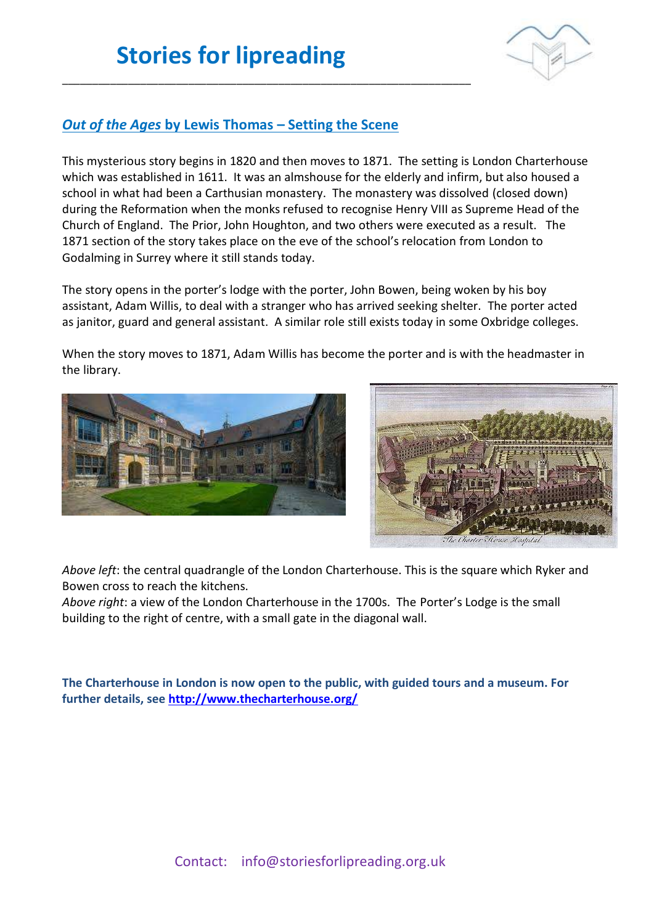\_\_\_\_\_\_\_\_\_\_\_\_\_\_\_\_\_\_\_\_\_\_\_\_\_\_\_\_\_\_\_\_\_\_\_\_\_\_\_\_\_\_\_\_\_\_\_\_\_\_\_\_\_\_\_\_\_\_\_\_\_\_\_\_\_\_\_\_



### *Out of the Ages* **by Lewis Thomas – Setting the Scene**

This mysterious story begins in 1820 and then moves to 1871. The setting is London Charterhouse which was established in 1611. It was an almshouse for the elderly and infirm, but also housed a school in what had been a Carthusian monastery. The monastery was dissolved (closed down) during the Reformation when the monks refused to recognise Henry VIII as Supreme Head of the Church of England. The Prior, John Houghton, and two others were executed as a result. The 1871 section of the story takes place on the eve of the school's relocation from London to Godalming in Surrey where it still stands today.

The story opens in the porter's lodge with the porter, John Bowen, being woken by his boy assistant, Adam Willis, to deal with a stranger who has arrived seeking shelter. The porter acted as janitor, guard and general assistant. A similar role still exists today in some Oxbridge colleges.

When the story moves to 1871, Adam Willis has become the porter and is with the headmaster in the library.





*Above left*: the central quadrangle of the London Charterhouse. This is the square which Ryker and Bowen cross to reach the kitchens.

*Above right*: a view of the London Charterhouse in the 1700s. The Porter's Lodge is the small building to the right of centre, with a small gate in the diagonal wall.

**The Charterhouse in London is now open to the public, with guided tours and a museum. For further details, see<http://www.thecharterhouse.org/>**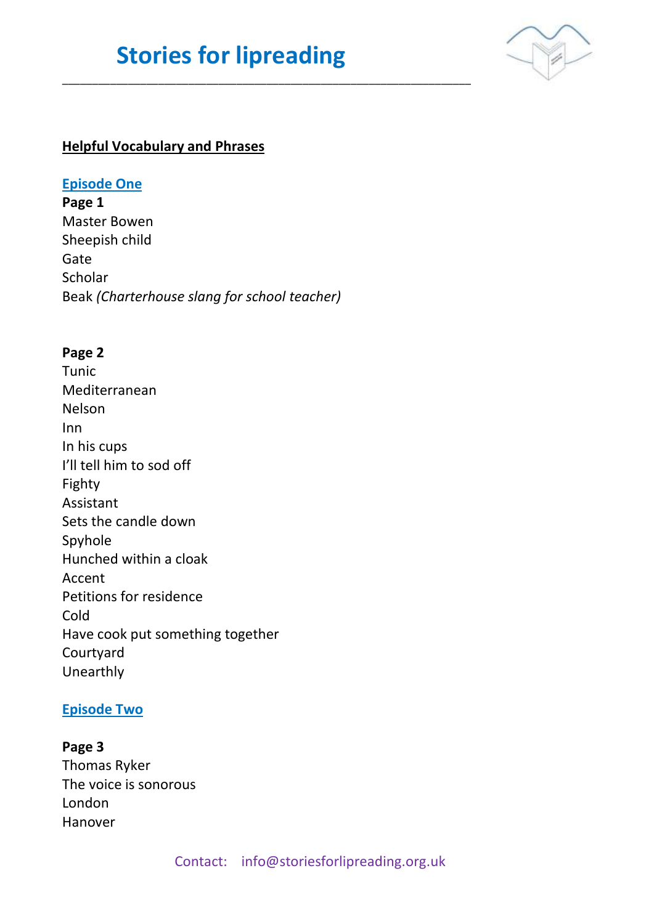# **Stories for lipreading**

\_\_\_\_\_\_\_\_\_\_\_\_\_\_\_\_\_\_\_\_\_\_\_\_\_\_\_\_\_\_\_\_\_\_\_\_\_\_\_\_\_\_\_\_\_\_\_\_\_\_\_\_\_\_\_\_\_\_\_\_\_\_\_\_\_\_\_\_



### **Helpful Vocabulary and Phrases**

#### **Episode One**

**Page 1** Master Bowen Sheepish child Gate Scholar Beak *(Charterhouse slang for school teacher)*

#### **Page 2**

Tunic Mediterranean Nelson Inn In his cups I'll tell him to sod off Fighty Assistant Sets the candle down Spyhole Hunched within a cloak Accent Petitions for residence Cold Have cook put something together Courtyard Unearthly

#### **Episode Two**

## **Page 3** Thomas Ryker The voice is sonorous London Hanover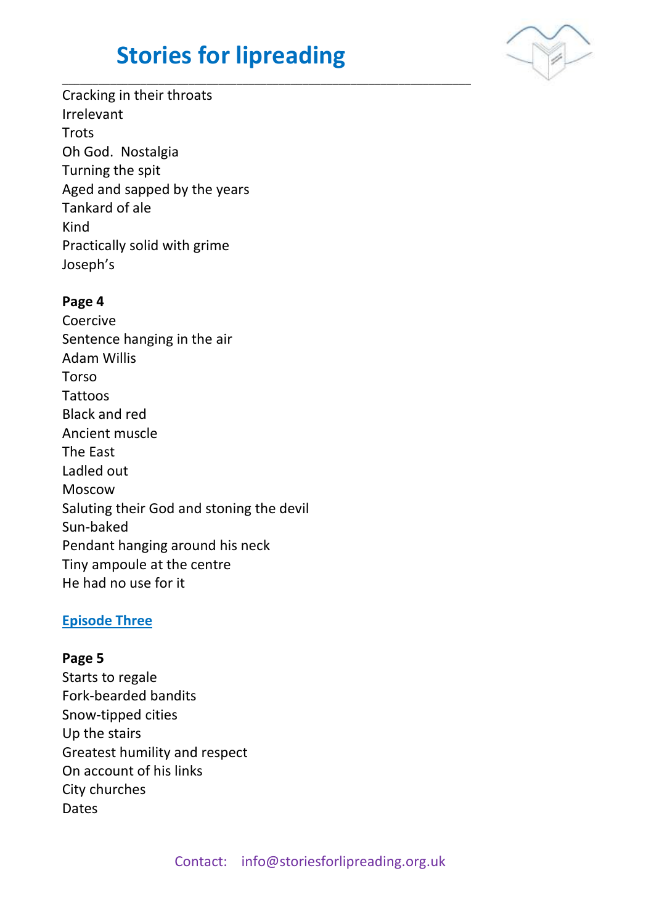# **Stories for lipreading**

\_\_\_\_\_\_\_\_\_\_\_\_\_\_\_\_\_\_\_\_\_\_\_\_\_\_\_\_\_\_\_\_\_\_\_\_\_\_\_\_\_\_\_\_\_\_\_\_\_\_\_\_\_\_\_\_\_\_\_\_\_\_\_\_\_\_\_\_



Cracking in their throats Irrelevant **Trots** Oh God. Nostalgia Turning the spit Aged and sapped by the years Tankard of ale Kind Practically solid with grime Joseph's

#### **Page 4**

Coercive Sentence hanging in the air Adam Willis Torso Tattoos Black and red Ancient muscle The East Ladled out Moscow Saluting their God and stoning the devil Sun-baked Pendant hanging around his neck Tiny ampoule at the centre He had no use for it

#### **Episode Three**

#### **Page 5**

Starts to regale Fork-bearded bandits Snow-tipped cities Up the stairs Greatest humility and respect On account of his links City churches Dates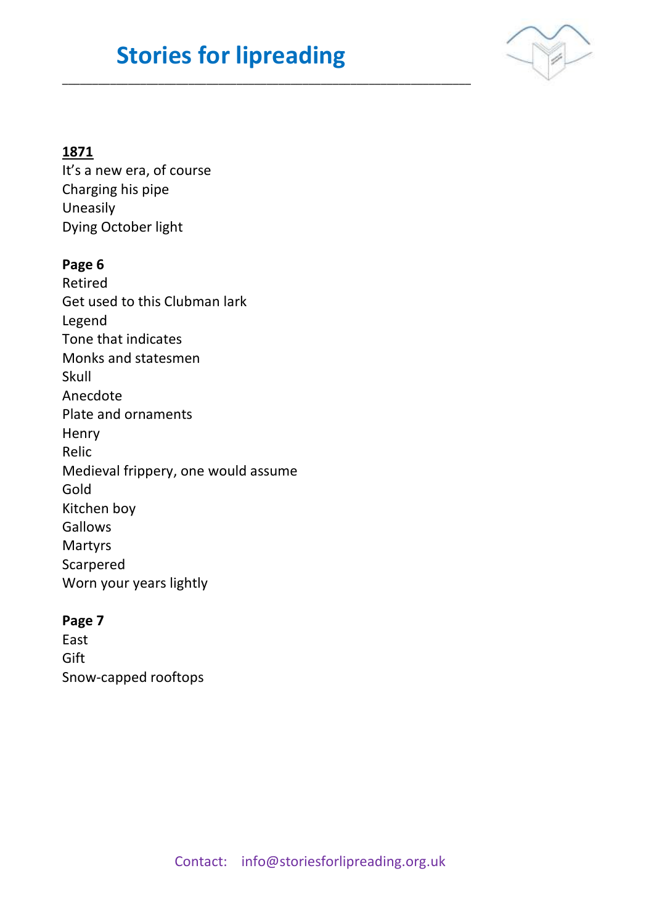# **Stories for lipreading**

\_\_\_\_\_\_\_\_\_\_\_\_\_\_\_\_\_\_\_\_\_\_\_\_\_\_\_\_\_\_\_\_\_\_\_\_\_\_\_\_\_\_\_\_\_\_\_\_\_\_\_\_\_\_\_\_\_\_\_\_\_\_\_\_\_\_\_\_



## **1871**

It's a new era, of course Charging his pipe Uneasily Dying October light

### **Page 6**

Retired Get used to this Clubman lark Legend Tone that indicates Monks and statesmen Skull Anecdote Plate and ornaments **Henry** Relic Medieval frippery, one would assume Gold Kitchen boy Gallows Martyrs Scarpered Worn your years lightly

### **Page 7**

East Gift Snow-capped rooftops